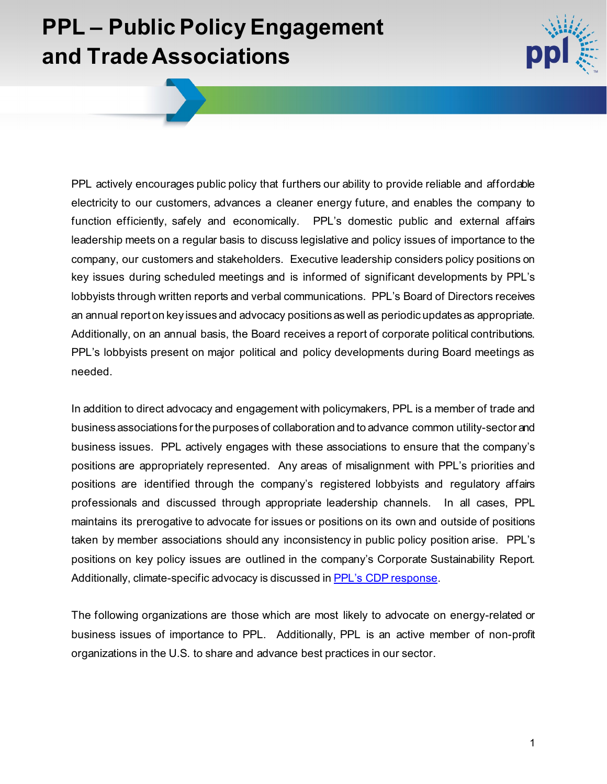## **PPL – Public Policy Engagement and Trade Associations**



PPL actively encourages public policy that furthers our ability to provide reliable and affordable electricity to our customers, advances a cleaner energy future, and enables the company to function efficiently, safely and economically. PPL's domestic public and external affairs leadership meets on a regular basis to discuss legislative and policy issues of importance to the company, our customers and stakeholders. Executive leadership considers policy positions on key issues during scheduled meetings and is informed of significant developments by PPL's lobbyists through written reports and verbal communications. PPL's Board of Directors receives an annual report on key issues and advocacy positions as well as periodic updates as appropriate. Additionally, on an annual basis, the Board receives a report of corporate political contributions. PPL's lobbyists present on major political and policy developments during Board meetings as needed.

In addition to direct advocacy and engagement with policymakers, PPL is a member of trade and business associations for the purposes of collaboration and to advance common utility-sector and business issues. PPL actively engages with these associations to ensure that the company's positions are appropriately represented. Any areas of misalignment with PPL's priorities and positions are identified through the company's registered lobbyists and regulatory affairs professionals and discussed through appropriate leadership channels. In all cases, PPL maintains its prerogative to advocate for issues or positions on its own and outside of positions taken by member associations should any inconsistency in public policy position arise. PPL's positions on key policy issues are outlined in the company's Corporate Sustainability Report. Additionally, climate-specific advocacy is discussed i[n PPL's CDP response.](https://www.pplweb.com/wp-content/uploads/2021/11/PPL-Corporation-CDP-Climate-Change-Questionnaire-2021-1.pdf#page=87)

The following organizations are those which are most likely to advocate on energy-related or business issues of importance to PPL. Additionally, PPL is an active member of non-profit organizations in the U.S. to share and advance best practices in our sector.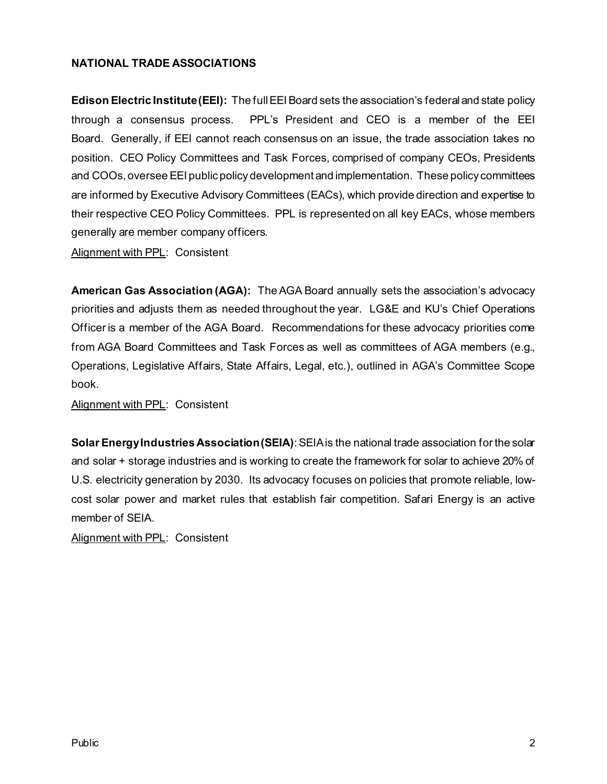## **NATIONAL TRADE ASSOCIATIONS**

**Edison Electric Institute (EEI):** The full EEI Board sets the association's federal and state policy through a consensus process. PPL's President and CEO is a member of the EEI Board. Generally, if EEI cannot reach consensus on an issue, the trade association takes no position. CEO Policy Committees and Task Forces, comprised of company CEOs, Presidents and COOs, oversee EEI public policy development and implementation. These policy committees are informed by Executive Advisory Committees (EACs), which provide direction and expertise to their respective CEO Policy Committees. PPL is represented on all key EACs, whose members generally are member company officers.

Alignment with PPL: Consistent

**American Gas Association (AGA):** The AGA Board annually sets the association's advocacy priorities and adjusts them as needed throughout the year. LG&E and KU's Chief Operations Officer is a member of the AGA Board. Recommendations for these advocacy priorities come from AGA Board Committees and Task Forces as well as committees of AGA members (e.g., Operations, Legislative Affairs, State Affairs, Legal, etc.), outlined in AGA's Committee Scope book.

Alignment with PPL: Consistent

**Solar Energy Industries Association (SEIA)**: SEIA is the national trade association for the solar and solar + storage industries and is working to create the framework for solar to achieve 20% of U.S. electricity generation by 2030. Its advocacy focuses on policies that promote reliable, lowcost solar power and market rules that establish fair competition. Safari Energy is an active member of SEIA.

Alignment with PPL: Consistent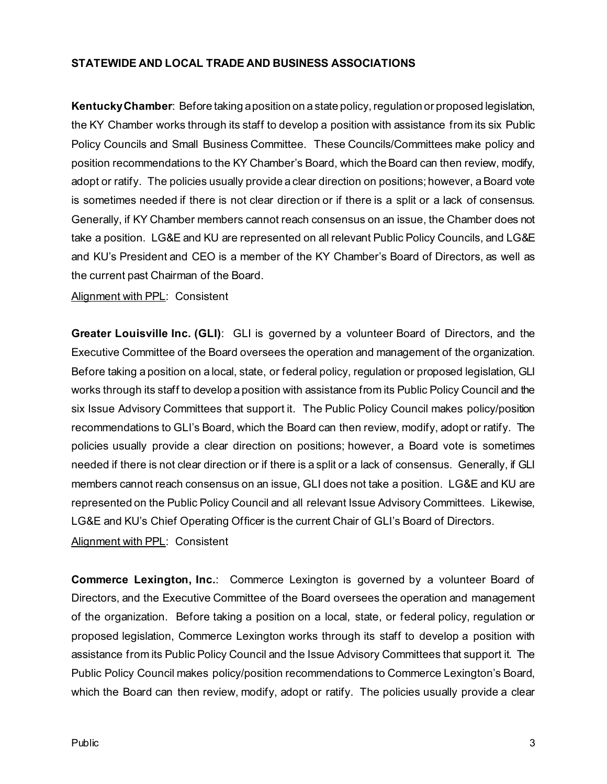## **STATEWIDE AND LOCAL TRADE AND BUSINESS ASSOCIATIONS**

**KentuckyChamber**: Before taking a position on a state policy, regulation or proposed legislation, the KY Chamber works through its staff to develop a position with assistance from its six Public Policy Councils and Small Business Committee. These Councils/Committees make policy and position recommendations to the KY Chamber's Board, which the Board can then review, modify, adopt or ratify. The policies usually provide a clear direction on positions; however, a Board vote is sometimes needed if there is not clear direction or if there is a split or a lack of consensus. Generally, if KY Chamber members cannot reach consensus on an issue, the Chamber does not take a position. LG&E and KU are represented on all relevant Public Policy Councils, and LG&E and KU's President and CEO is a member of the KY Chamber's Board of Directors, as well as the current past Chairman of the Board.

Alignment with PPL: Consistent

**Greater Louisville Inc. (GLI)**: GLI is governed by a volunteer Board of Directors, and the Executive Committee of the Board oversees the operation and management of the organization. Before taking a position on a local, state, or federal policy, regulation or proposed legislation, GLI works through its staff to develop a position with assistance from its Public Policy Council and the six Issue Advisory Committees that support it. The Public Policy Council makes policy/position recommendations to GLI's Board, which the Board can then review, modify, adopt or ratify. The policies usually provide a clear direction on positions; however, a Board vote is sometimes needed if there is not clear direction or if there is a split or a lack of consensus. Generally, if GLI members cannot reach consensus on an issue, GLI does not take a position. LG&E and KU are represented on the Public Policy Council and all relevant Issue Advisory Committees. Likewise, LG&E and KU's Chief Operating Officer is the current Chair of GLI's Board of Directors.

Alignment with PPL: Consistent

**Commerce Lexington, Inc.**: Commerce Lexington is governed by a volunteer Board of Directors, and the Executive Committee of the Board oversees the operation and management of the organization. Before taking a position on a local, state, or federal policy, regulation or proposed legislation, Commerce Lexington works through its staff to develop a position with assistance from its Public Policy Council and the Issue Advisory Committees that support it. The Public Policy Council makes policy/position recommendations to Commerce Lexington's Board, which the Board can then review, modify, adopt or ratify. The policies usually provide a clear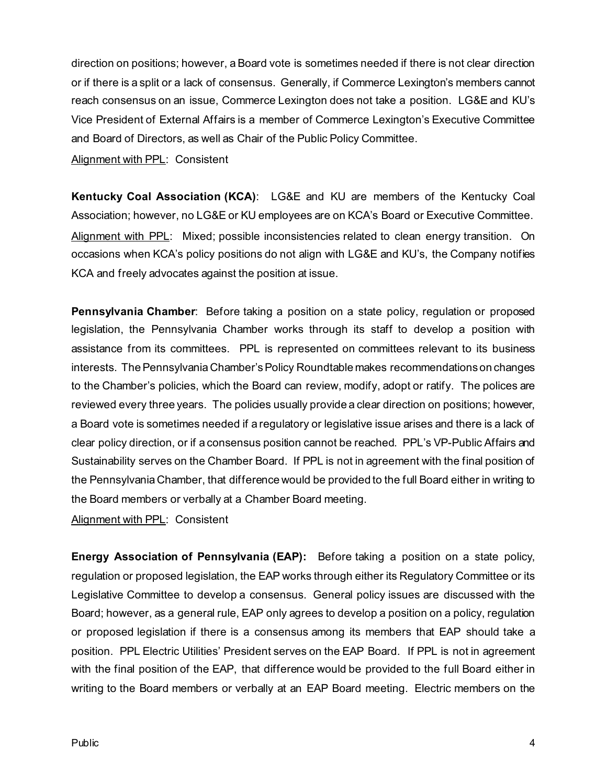direction on positions; however, a Board vote is sometimes needed if there is not clear direction or if there is a split or a lack of consensus. Generally, if Commerce Lexington's members cannot reach consensus on an issue, Commerce Lexington does not take a position. LG&E and KU's Vice President of External Affairs is a member of Commerce Lexington's Executive Committee and Board of Directors, as well as Chair of the Public Policy Committee.

Alignment with PPL: Consistent

**Kentucky Coal Association (KCA)**: LG&E and KU are members of the Kentucky Coal Association; however, no LG&E or KU employees are on KCA's Board or Executive Committee. Alignment with PPL: Mixed; possible inconsistencies related to clean energy transition. On occasions when KCA's policy positions do not align with LG&E and KU's, the Company notifies KCA and freely advocates against the position at issue.

**Pennsylvania Chamber**: Before taking a position on a state policy, regulation or proposed legislation, the Pennsylvania Chamber works through its staff to develop a position with assistance from its committees. PPL is represented on committees relevant to its business interests. The Pennsylvania Chamber's Policy Roundtable makes recommendations on changes to the Chamber's policies, which the Board can review, modify, adopt or ratify. The polices are reviewed every three years. The policies usually provide a clear direction on positions; however, a Board vote is sometimes needed if a regulatory or legislative issue arises and there is a lack of clear policy direction, or if a consensus position cannot be reached. PPL's VP-Public Affairs and Sustainability serves on the Chamber Board. If PPL is not in agreement with the final position of the Pennsylvania Chamber, that difference would be provided to the full Board either in writing to the Board members or verbally at a Chamber Board meeting.

Alignment with PPL: Consistent

**Energy Association of Pennsylvania (EAP):** Before taking a position on a state policy, regulation or proposed legislation, the EAP works through either its Regulatory Committee or its Legislative Committee to develop a consensus. General policy issues are discussed with the Board; however, as a general rule, EAP only agrees to develop a position on a policy, regulation or proposed legislation if there is a consensus among its members that EAP should take a position. PPL Electric Utilities' President serves on the EAP Board. If PPL is not in agreement with the final position of the EAP, that difference would be provided to the full Board either in writing to the Board members or verbally at an EAP Board meeting. Electric members on the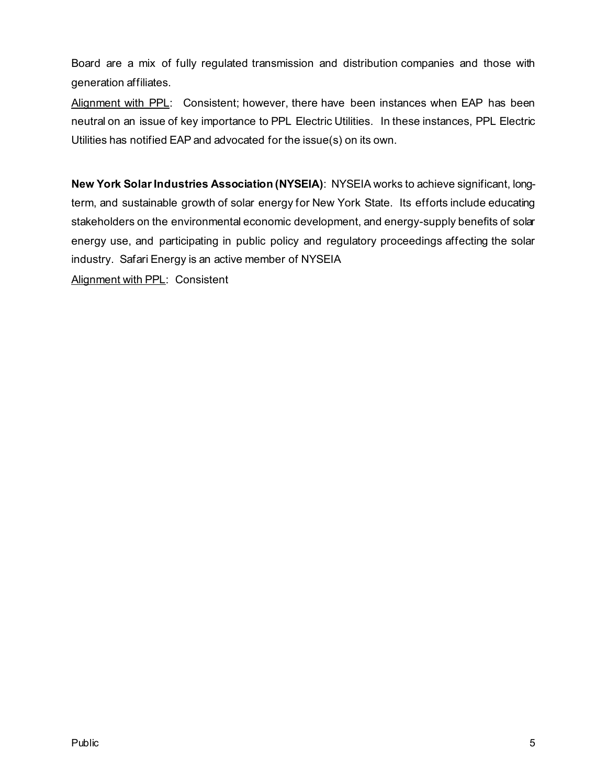Board are a mix of fully regulated transmission and distribution companies and those with generation affiliates.

Alignment with PPL: Consistent; however, there have been instances when EAP has been neutral on an issue of key importance to PPL Electric Utilities. In these instances, PPL Electric Utilities has notified EAP and advocated for the issue(s) on its own.

**New York Solar Industries Association (NYSEIA)**: NYSEIA works to achieve significant, longterm, and sustainable growth of solar energy for New York State. Its efforts include educating stakeholders on the environmental economic development, and energy-supply benefits of solar energy use, and participating in public policy and regulatory proceedings affecting the solar industry. Safari Energy is an active member of NYSEIA

Alignment with PPL: Consistent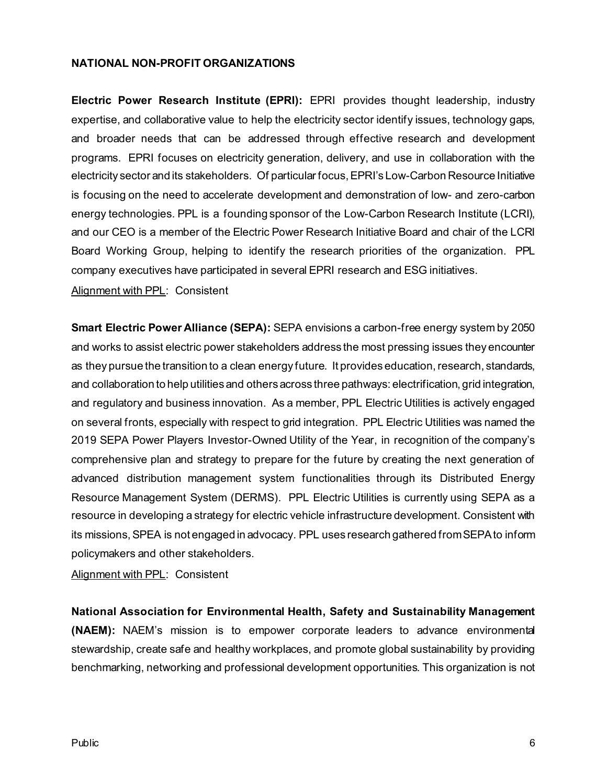## **NATIONAL NON-PROFIT ORGANIZATIONS**

**Electric Power Research Institute (EPRI):** EPRI provides thought leadership, industry expertise, and collaborative value to help the electricity sector identify issues, technology gaps, and broader needs that can be addressed through effective research and development programs. EPRI focuses on electricity generation, delivery, and use in collaboration with the electricity sector and its stakeholders. Of particular focus, EPRI's Low-Carbon Resource Initiative is focusing on the need to accelerate development and demonstration of low- and zero-carbon energy technologies. PPL is a founding sponsor of the Low-Carbon Research Institute (LCRI), and our CEO is a member of the Electric Power Research Initiative Board and chair of the LCRI Board Working Group, helping to identify the research priorities of the organization. PPL company executives have participated in several EPRI research and ESG initiatives.

Alignment with PPL: Consistent

**Smart Electric Power Alliance (SEPA):** SEPA envisions a carbon-free energy system by 2050 and works to assist electric power stakeholders address the most pressing issues they encounter as they pursue the transition to a clean energy future. It provides education, research, standards, and collaboration to help utilities and others across three pathways: electrification, grid integration, and regulatory and business innovation. As a member, PPL Electric Utilities is actively engaged on several fronts, especially with respect to grid integration. PPL Electric Utilities was named the 2019 SEPA Power Players Investor-Owned Utility of the Year, in recognition of the company's comprehensive plan and strategy to prepare for the future by creating the next generation of advanced distribution management system functionalities through its Distributed Energy Resource Management System (DERMS). PPL Electric Utilities is currently using SEPA as a resource in developing a strategy for electric vehicle infrastructure development. Consistent with its missions, SPEA is not engaged in advocacy. PPL uses research gathered from SEPAto inform policymakers and other stakeholders.

Alignment with PPL: Consistent

**National Association for Environmental Health, Safety and Sustainability Management (NAEM):** NAEM's mission is to empower corporate leaders to advance environmental stewardship, create safe and healthy workplaces, and promote global sustainability by providing benchmarking, networking and professional development opportunities. This organization is not